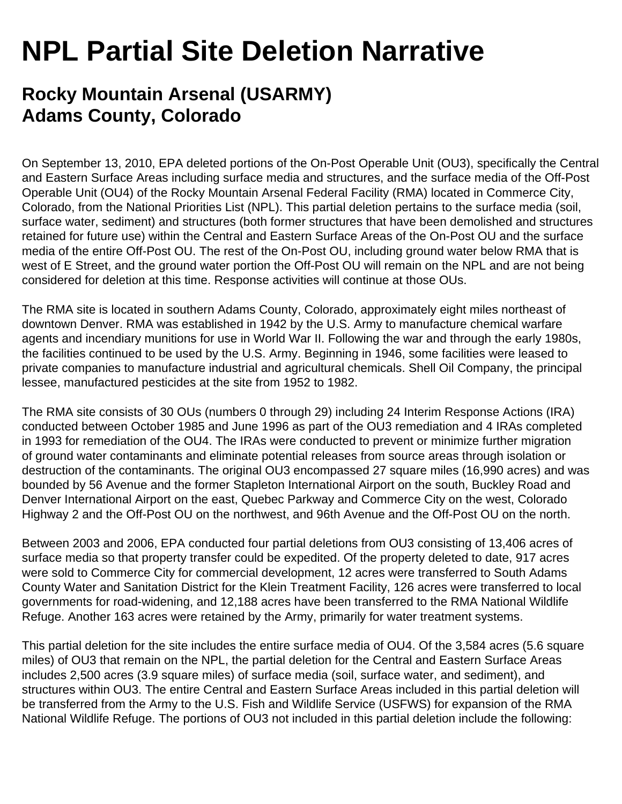## **NPL Partial Site Deletion Narrative**

## **Rocky Mountain Arsenal (USARMY) Adams County, Colorado**

On September 13, 2010, EPA deleted portions of the On-Post Operable Unit (OU3), specifically the Central and Eastern Surface Areas including surface media and structures, and the surface media of the Off-Post Operable Unit (OU4) of the Rocky Mountain Arsenal Federal Facility (RMA) located in Commerce City, Colorado, from the National Priorities List (NPL). This partial deletion pertains to the surface media (soil, surface water, sediment) and structures (both former structures that have been demolished and structures retained for future use) within the Central and Eastern Surface Areas of the On-Post OU and the surface media of the entire Off-Post OU. The rest of the On-Post OU, including ground water below RMA that is west of E Street, and the ground water portion the Off-Post OU will remain on the NPL and are not being considered for deletion at this time. Response activities will continue at those OUs.

The RMA site is located in southern Adams County, Colorado, approximately eight miles northeast of downtown Denver. RMA was established in 1942 by the U.S. Army to manufacture chemical warfare agents and incendiary munitions for use in World War II. Following the war and through the early 1980s, the facilities continued to be used by the U.S. Army. Beginning in 1946, some facilities were leased to private companies to manufacture industrial and agricultural chemicals. Shell Oil Company, the principal lessee, manufactured pesticides at the site from 1952 to 1982.

The RMA site consists of 30 OUs (numbers 0 through 29) including 24 Interim Response Actions (IRA) conducted between October 1985 and June 1996 as part of the OU3 remediation and 4 IRAs completed in 1993 for remediation of the OU4. The IRAs were conducted to prevent or minimize further migration of ground water contaminants and eliminate potential releases from source areas through isolation or destruction of the contaminants. The original OU3 encompassed 27 square miles (16,990 acres) and was bounded by 56 Avenue and the former Stapleton International Airport on the south, Buckley Road and Denver International Airport on the east, Quebec Parkway and Commerce City on the west, Colorado Highway 2 and the Off-Post OU on the northwest, and 96th Avenue and the Off-Post OU on the north.

Between 2003 and 2006, EPA conducted four partial deletions from OU3 consisting of 13,406 acres of surface media so that property transfer could be expedited. Of the property deleted to date, 917 acres were sold to Commerce City for commercial development, 12 acres were transferred to South Adams County Water and Sanitation District for the Klein Treatment Facility, 126 acres were transferred to local governments for road-widening, and 12,188 acres have been transferred to the RMA National Wildlife Refuge. Another 163 acres were retained by the Army, primarily for water treatment systems.

This partial deletion for the site includes the entire surface media of OU4. Of the 3,584 acres (5.6 square miles) of OU3 that remain on the NPL, the partial deletion for the Central and Eastern Surface Areas includes 2,500 acres (3.9 square miles) of surface media (soil, surface water, and sediment), and structures within OU3. The entire Central and Eastern Surface Areas included in this partial deletion will be transferred from the Army to the U.S. Fish and Wildlife Service (USFWS) for expansion of the RMA National Wildlife Refuge. The portions of OU3 not included in this partial deletion include the following: